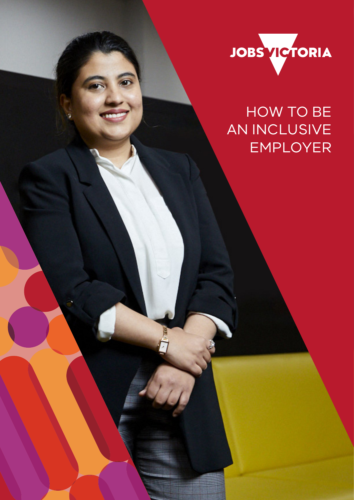

# HOW TO BE AN INCLUSIVE EMPLOYER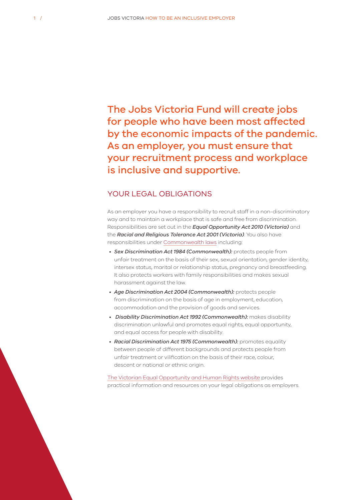The Jobs Victoria Fund will create jobs for people who have been most affected by the economic impacts of the pandemic. As an employer, you must ensure that your recruitment process and workplace is inclusive and supportive.

#### YOUR LEGAL OBLIGATIONS

As an employer you have a responsibility to recruit staff in a non-discriminatory way and to maintain a workplace that is safe and free from discrimination. Responsibilities are set out in the *Equal Opportunity Act 2010 (Victoria)* and the *Racial and Religious Tolerance Act 2001 (Victoria)*. You also have responsibilities under [Commonwealth laws](https://humanrights.gov.au/our-work/legal/legislation#sda) including:

- *Sex Discrimination Act 1984 (Commonwealth):* protects people from unfair treatment on the basis of their sex, sexual orientation, gender identity, intersex status, marital or relationship status, pregnancy and breastfeeding. It also protects workers with family responsibilities and makes sexual harassment against the law.
- *Age Discrimination Act 2004 (Commonwealth):* protects people from discrimination on the basis of age in employment, education, accommodation and the provision of goods and services.
- • *Disability Discrimination Act 1992 (Commonwealth):* makes disability discrimination unlawful and promotes equal rights, equal opportunity, and equal access for people with disability.
- *Racial Discrimination Act 1975 (Commonwealth):* promotes equality between people of different backgrounds and protects people from unfair treatment or vilification on the basis of their race, colour, descent or national or ethnic origin.

[The Victorian Equal Opportunity and Human Rights website](https://www.humanrights.vic.gov.au/for-organisations/) provides practical information and resources on your legal obligations as employers.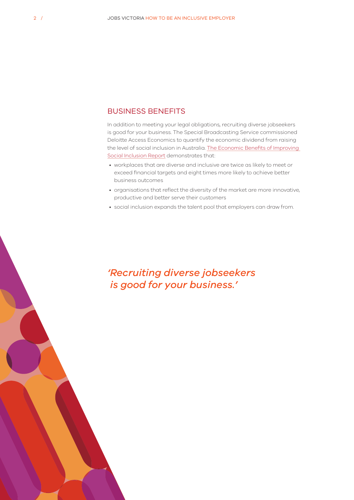#### BUSINESS BENEFITS

In addition to meeting your legal obligations, recruiting diverse jobseekers is good for your business. The Special Broadcasting Service commissioned Deloitte Access Economics to quantify the economic dividend from raising the level of social inclusion in Australia. [The Economic Benefits of Improving](https://www2.deloitte.com/au/en/pages/economics/articles/economic-benefits-improving-social-inclusion.html)  [Social Inclusion Report](https://www2.deloitte.com/au/en/pages/economics/articles/economic-benefits-improving-social-inclusion.html) demonstrates that:

- workplaces that are diverse and inclusive are twice as likely to meet or exceed financial targets and eight times more likely to achieve better business outcomes
- organisations that reflect the diversity of the market are more innovative, productive and better serve their customers
- social inclusion expands the talent pool that employers can draw from.

## *'Recruiting diverse jobseekers is good for your business.'*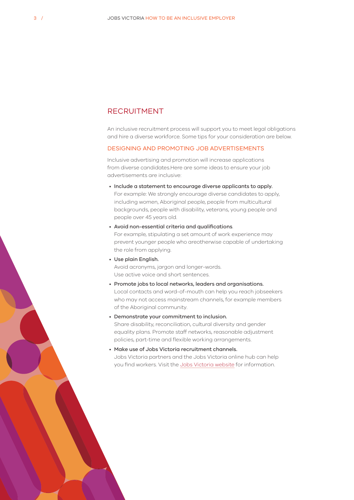#### RECRUITMENT

An inclusive recruitment process will support you to meet legal obligations and hire a diverse workforce. Some tips for your consideration are below.

#### DESIGNING AND PROMOTING JOB ADVERTISEMENTS

Inclusive advertising and promotion will increase applications from diverse candidates.Here are some ideas to ensure your job advertisements are inclusive:

- Include a statement to encourage diverse applicants to apply. For example: We strongly encourage diverse candidates to apply, including women, Aboriginal people, people from multicultural backgrounds, people with disability, veterans, young people and people over 45 years old.
- Avoid non-essential criteria and qualifications. For example, stipulating a set amount of work experience may prevent younger people who areotherwise capable of undertaking the role from applying.
- Use plain English. Avoid acronyms, jargon and longer-words. Use active voice and short sentences.
- Promote jobs to local networks, leaders and organisations. Local contacts and word-of-mouth can help you reach jobseekers who may not access mainstream channels, for example members of the Aboriginal community.
- Demonstrate your commitment to inclusion. Share disability, reconciliation, cultural diversity and gender equality plans. Promote staff networks, reasonable adjustment policies, part-time and flexible working arrangements.
- Make use of Jobs Victoria recruitment channels. Jobs Victoria partners and the Jobs Victoria online hub can help you find workers. Visit the [Jobs Victoria website](https://jobs.vic.gov.au/help-for-employers) for information.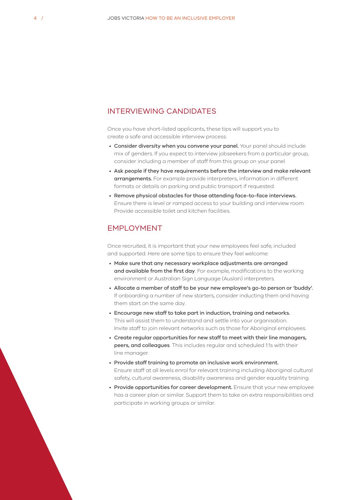#### INTERVIEWING CANDIDATES

Once you have short-listed applicants, these tips will support you to create a safe and accessible interview process:

- Consider diversity when you convene your panel. Your panel should include mix of genders. If you expect to interview jobseekers from a particular group. consider including a member of staff from this group on your panel.
- Ask people if they have requirements before the interview and make relevant arrangements. For example provide interpreters, information in different formats or details on parking and public transport if requested.
- Remove physical obstacles for those attending face-to-face interviews. Ensure there is level or ramped access to your building and interview room. Provide accessible toilet and kitchen facilities.

#### EMPLOYMENT

Once recruited, it is important that your new employees feel safe, included and supported. Here are some tips to ensure they feel welcome:

- Make sure that any necessary workplace adjustments are arranged and available from the first day. For example, modifications to the working environment or Australian Sign Language (Auslan) interpreters.
- Allocate a member of staff to be your new employee's go-to person or 'buddy'. If onboarding a number of new starters, consider inducting them and having them start on the same day.
- Encourage new staff to take part in induction, training and networks. This will assist them to understand and settle into your organisation. Invite staff to join relevant networks such as those for Aboriginal employees.
- Create regular opportunities for new staff to meet with their line managers, peers, and colleagues. This includes regular and scheduled 1:1s with their line manager.
- Provide staff training to promote an inclusive work environment. Ensure staff at all levels enrol for relevant training including Aboriginal cultural safety, cultural awareness, disability awareness and gender equality training.
- Provide opportunities for career development. Ensure that your new employee has a career plan or similar. Support them to take on extra responsibilities and participate in working groups or similar.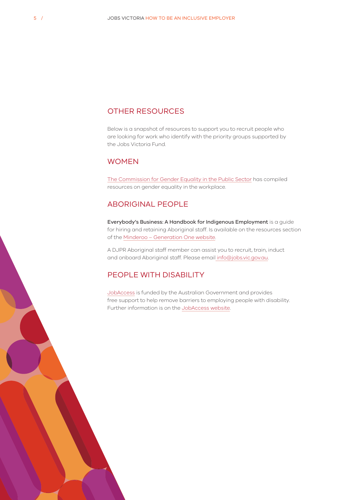#### OTHER RESOURCES

Below is a snapshot of resources to support you to recruit people who are looking for work who identify with the priority groups supported by the Jobs Victoria Fund.

#### WOMEN

[The Commission for Gender Equality in the Public Sector](https://www.genderequalitycommission.vic.gov.au/leading-practice-resources) has compiled resources on gender equality in the workplace.

#### ABORIGINAL PEOPLE

Everybody's Business: A Handbook for Indigenous Employment is a guide for hiring and retaining Aboriginal staff. Is available on the resources section of the [Minderoo – Generation One website.](https://www.minderoo.org/generation-one/)

A DJPR Aboriginal staff member can assist you to recruit, train, induct and onboard Aboriginal staff. Please email [info@jobs.vic.gov.au.](mailto:info@jobs.vic.gov.au)

#### PEOPLE WITH DISABILITY

[JobAccess](https://www.jobaccess.gov.au/home) is funded by the Australian Government and provides free support to help remove barriers to employing people with disability. Further information is on the [JobAccess website.](https://www.jobaccess.gov.au/home)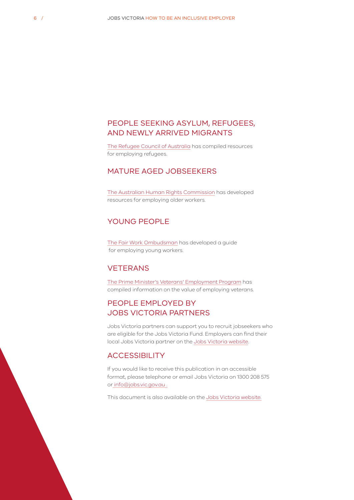### PEOPLE SEEKING ASYLUM, REFUGEES, AND NEWLY ARRIVED MIGRANTS

[The Refugee Council of Australia](https://www.refugeecouncil.org.au/employing-refugees/3/) has compiled resources for employing refugees.

#### MATURE AGED JOBSEEKERS

[The Australian Human Rights Commission](https://humanrights.gov.au/our-work/age-discrimination/publications/employing-older-workers-2018) has developed resources for employing older workers.

#### YOUNG PEOPLE

[The Fair Work Ombudsman](https://www.fairwork.gov.au/how-we-will-help/templates-and-guides/best-practice-guides/employing-young-workers) has developed a guide for employing young workers.

#### VETERANS

[The Prime Minister's Veterans' Employment Program](https://www.veteransemployment.gov.au/employers/why-hire-veterans) has compiled information on the value of employing veterans.

### PEOPLE EMPLOYED BY JOBS VICTORIA PARTNERS

Jobs Victoria partners can support you to recruit jobseekers who are eligible for the Jobs Victoria Fund. Employers can find their local Jobs Victoria partner on the [Jobs Victoria website](http://jobs.vic.gov.au).

#### **ACCESSIBILITY**

If you would like to receive this publication in an accessible format, please telephone or email Jobs Victoria on 1300 208 575 or [info@jobs.vic.gov.au](mailto:info@jobs.vic.gov.au) .

This document is also available on the [Jobs Victoria website](http://jobs.vic.gov.au).